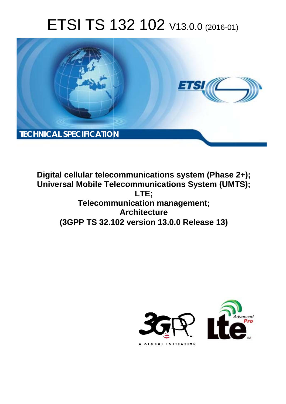# ETSI TS 132 102 V13.0.0 (2016-01)



**Digital cellular telecommunications system (Phase 2+); Universal Mobile Tel elecommunications System ( (UMTS); Telecomm munication management; (3GPP TS 32.1 .102 version 13.0.0 Release 13 13) LTE; Architecture** 

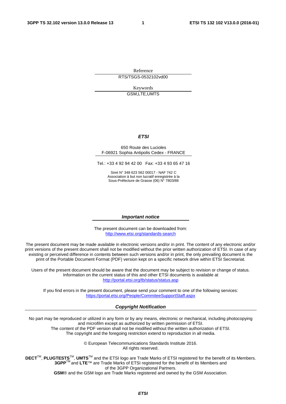Reference RTS/TSGS-0532102vd00

> Keywords GSM,LTE,UMTS

#### *ETSI*

#### 650 Route des Lucioles F-06921 Sophia Antipolis Cedex - FRANCE

Tel.: +33 4 92 94 42 00 Fax: +33 4 93 65 47 16

Siret N° 348 623 562 00017 - NAF 742 C Association à but non lucratif enregistrée à la Sous-Préfecture de Grasse (06) N° 7803/88

#### *Important notice*

The present document can be downloaded from: <http://www.etsi.org/standards-search>

The present document may be made available in electronic versions and/or in print. The content of any electronic and/or print versions of the present document shall not be modified without the prior written authorization of ETSI. In case of any existing or perceived difference in contents between such versions and/or in print, the only prevailing document is the print of the Portable Document Format (PDF) version kept on a specific network drive within ETSI Secretariat.

Users of the present document should be aware that the document may be subject to revision or change of status. Information on the current status of this and other ETSI documents is available at <http://portal.etsi.org/tb/status/status.asp>

If you find errors in the present document, please send your comment to one of the following services: <https://portal.etsi.org/People/CommiteeSupportStaff.aspx>

#### *Copyright Notification*

No part may be reproduced or utilized in any form or by any means, electronic or mechanical, including photocopying and microfilm except as authorized by written permission of ETSI.

The content of the PDF version shall not be modified without the written authorization of ETSI. The copyright and the foregoing restriction extend to reproduction in all media.

> © European Telecommunications Standards Institute 2016. All rights reserved.

**DECT**TM, **PLUGTESTS**TM, **UMTS**TM and the ETSI logo are Trade Marks of ETSI registered for the benefit of its Members. **3GPP**TM and **LTE**™ are Trade Marks of ETSI registered for the benefit of its Members and of the 3GPP Organizational Partners.

**GSM**® and the GSM logo are Trade Marks registered and owned by the GSM Association.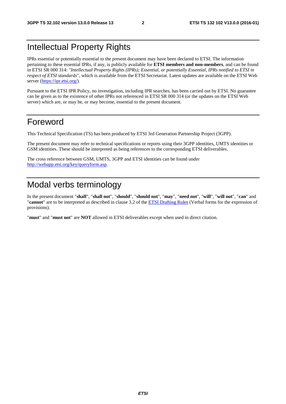### Intellectual Property Rights

IPRs essential or potentially essential to the present document may have been declared to ETSI. The information pertaining to these essential IPRs, if any, is publicly available for **ETSI members and non-members**, and can be found in ETSI SR 000 314: *"Intellectual Property Rights (IPRs); Essential, or potentially Essential, IPRs notified to ETSI in respect of ETSI standards"*, which is available from the ETSI Secretariat. Latest updates are available on the ETSI Web server [\(https://ipr.etsi.org/](https://ipr.etsi.org/)).

Pursuant to the ETSI IPR Policy, no investigation, including IPR searches, has been carried out by ETSI. No guarantee can be given as to the existence of other IPRs not referenced in ETSI SR 000 314 (or the updates on the ETSI Web server) which are, or may be, or may become, essential to the present document.

### Foreword

This Technical Specification (TS) has been produced by ETSI 3rd Generation Partnership Project (3GPP).

The present document may refer to technical specifications or reports using their 3GPP identities, UMTS identities or GSM identities. These should be interpreted as being references to the corresponding ETSI deliverables.

The cross reference between GSM, UMTS, 3GPP and ETSI identities can be found under [http://webapp.etsi.org/key/queryform.asp.](http://webapp.etsi.org/key/queryform.asp)

### Modal verbs terminology

In the present document "**shall**", "**shall not**", "**should**", "**should not**", "**may**", "**need not**", "**will**", "**will not**", "**can**" and "**cannot**" are to be interpreted as described in clause 3.2 of the [ETSI Drafting Rules](http://portal.etsi.org/Help/editHelp!/Howtostart/ETSIDraftingRules.aspx) (Verbal forms for the expression of provisions).

"**must**" and "**must not**" are **NOT** allowed in ETSI deliverables except when used in direct citation.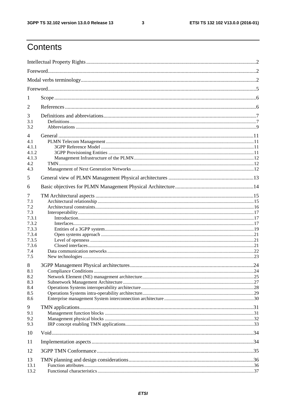$\mathbf{3}$ 

## Contents

| 1              |  |  |  |
|----------------|--|--|--|
| 2              |  |  |  |
| 3              |  |  |  |
| 3.1            |  |  |  |
| 3.2            |  |  |  |
| $\overline{4}$ |  |  |  |
| 4.1<br>4.1.1   |  |  |  |
| 4.1.2          |  |  |  |
| 4.1.3          |  |  |  |
| 4.2            |  |  |  |
| 4.3            |  |  |  |
| 5              |  |  |  |
| 6              |  |  |  |
| 7              |  |  |  |
| 7.1            |  |  |  |
| 7.2            |  |  |  |
| 7.3            |  |  |  |
| 7.3.1          |  |  |  |
| 7.3.2          |  |  |  |
| 7.3.3          |  |  |  |
| 7.3.4<br>7.3.5 |  |  |  |
| 7.3.6          |  |  |  |
| 7.4            |  |  |  |
| 7.5            |  |  |  |
| 8              |  |  |  |
| 8.1            |  |  |  |
| 8.2            |  |  |  |
| 8.3            |  |  |  |
| 8.4<br>8.5     |  |  |  |
| 8.6            |  |  |  |
|                |  |  |  |
| 9<br>9.1       |  |  |  |
| 9.2            |  |  |  |
| 9.3            |  |  |  |
| 10             |  |  |  |
| 11             |  |  |  |
|                |  |  |  |
| 12             |  |  |  |
| 13             |  |  |  |
| 13.1           |  |  |  |
| 13.2           |  |  |  |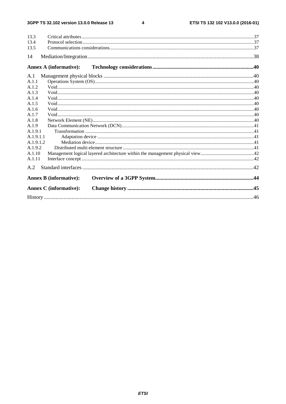#### 3GPP TS 32.102 version 13.0.0 Release 13

 $\overline{\mathbf{4}}$ 

| 13.3      |                               |  |
|-----------|-------------------------------|--|
| 13.4      |                               |  |
| 13.5      |                               |  |
| 14        |                               |  |
|           | <b>Annex A (informative):</b> |  |
| A.1       |                               |  |
| A.1.1     |                               |  |
| A.1.2     |                               |  |
| A.1.3     |                               |  |
| A.1.4     |                               |  |
| A.1.5     |                               |  |
| A.1.6     |                               |  |
| A.1.7     |                               |  |
| A.1.8     |                               |  |
| A.1.9     |                               |  |
| A.1.9.1   |                               |  |
| A.1.9.1.1 |                               |  |
| A.1.9.1.2 |                               |  |
| A.1.9.2   |                               |  |
| A.1.10    |                               |  |
| A.1.11    |                               |  |
| A.2       |                               |  |
|           | <b>Annex B</b> (informative): |  |
|           | <b>Annex C</b> (informative): |  |
|           |                               |  |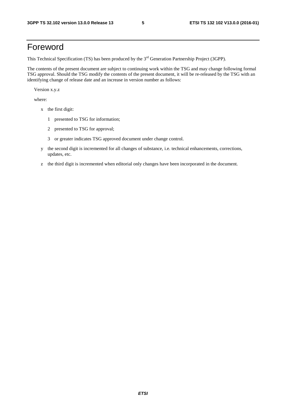### Foreword

This Technical Specification (TS) has been produced by the 3<sup>rd</sup> Generation Partnership Project (3GPP).

The contents of the present document are subject to continuing work within the TSG and may change following formal TSG approval. Should the TSG modify the contents of the present document, it will be re-released by the TSG with an identifying change of release date and an increase in version number as follows:

Version x.y.z

where:

- x the first digit:
	- 1 presented to TSG for information;
	- 2 presented to TSG for approval;
	- 3 or greater indicates TSG approved document under change control.
- y the second digit is incremented for all changes of substance, i.e. technical enhancements, corrections, updates, etc.
- z the third digit is incremented when editorial only changes have been incorporated in the document.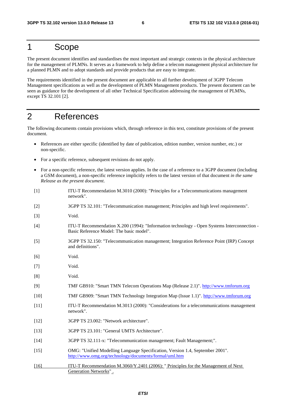### 1 Scope

The present document identifies and standardises the most important and strategic contexts in the physical architecture for the management of PLMNs. It serves as a framework to help define a telecom management physical architecture for a planned PLMN and to adopt standards and provide products that are easy to integrate.

The requirements identified in the present document are applicable to all further development of 3GPP Telecom Management specifications as well as the development of PLMN Management products. The present document can be seen as guidance for the development of all other Technical Specification addressing the management of PLMNs, except TS 32.101 [2].

### 2 References

The following documents contain provisions which, through reference in this text, constitute provisions of the present document.

- References are either specific (identified by date of publication, edition number, version number, etc.) or non-specific.
- For a specific reference, subsequent revisions do not apply.
- For a non-specific reference, the latest version applies. In the case of a reference to a 3GPP document (including a GSM document), a non-specific reference implicitly refers to the latest version of that document *in the same Release as the present document*.
- [1] ITU-T Recommendation M.3010 (2000): "Principles for a Telecommunications management network".
- [2] 3GPP TS 32.101: "Telecommunication management; Principles and high level requirements".
- [3] Void.
- [4] ITU-T Recommendation X.200 (1994): "Information technology Open Systems Interconnection Basic Reference Model: The basic model".
- [5] 3GPP TS 32.150: "Telecommunication management; Integration Reference Point (IRP) Concept and definitions".
- [6] Void.
- [7] Void.
- [8] Void.
- [9] TMF GB910: "Smart TMN Telecom Operations Map (Release 2.1)". [http://www.tmforum.org](http://www.tmforum.org/)
- [10] TMF GB909: "Smart TMN Technology Integration Map (Issue 1.1)". [http://www.tmforum.org](http://www.tmforum.org/)
- [11] ITU-T Recommendation M.3013 (2000): "Considerations for a telecommunications management network".
- [12] 3GPP TS 23.002: "Network architecture".
- [13] 3GPP TS 23.101: "General UMTS Architecture".
- [14] 3GPP TS 32.111-x: "Telecommunication management; Fault Management;".
- [15] OMG: "Unified Modelling Language Specification, Version 1.4, September 2001". <http://www.omg.org/technology/documents/formal/uml.htm>
- [16] ITU-T Recommendation M.3060/Y.2401 (2006): " Principles for the Management of Next Generation Networks" .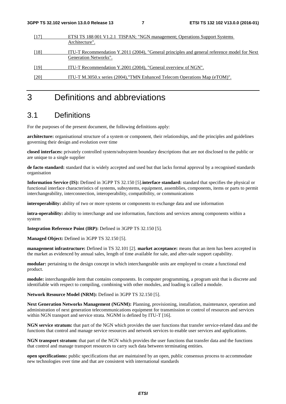|      | ETSI TS 188 001 V1.2.1 TISPAN; "NGN management; Operations Support Systems                   |  |  |
|------|----------------------------------------------------------------------------------------------|--|--|
|      | Architecture".                                                                               |  |  |
| [18] | ITU-T Recommendation Y.2011 (2004), "General principles and general reference model for Next |  |  |
|      | Generation Networks".                                                                        |  |  |
| [19] | ITU-T Recommendation Y.2001 (2004), "General overview of NGN".                               |  |  |
| [20] | ITU-T M.3050.x series (2004), "TMN Enhanced Telecom Operations Map (eTOM)".                  |  |  |

### 3 Definitions and abbreviations

### 3.1 Definitions

For the purposes of the present document, the following definitions apply:

**architecture:** organisational structure of a system or component, their relationships, and the principles and guidelines governing their design and evolution over time

**closed interfaces:** privately controlled system/subsystem boundary descriptions that are not disclosed to the public or are unique to a single supplier

**de facto standard:** standard that is widely accepted and used but that lacks formal approval by a recognised standards organisation

**Information Service (IS):** Defined in 3GPP TS 32.150 [5].**interface standard:** standard that specifies the physical or functional interface characteristics of systems, subsystems, equipment, assemblies, components, items or parts to permit interchangeability, interconnection, interoperability, compatibility, or communications

**interoperability:** ability of two or more systems or components to exchange data and use information

**intra-operability:** ability to interchange and use information, functions and services among components within a system

**Integration Reference Point (IRP):** Defined in 3GPP TS 32.150 [5].

**Managed Object:** Defined in 3GPP TS 32.150 [5].

**management infrastructure:** Defined in TS 32.101 [2]. **market acceptance:** means that an item has been accepted in the market as evidenced by annual sales, length of time available for sale, and after-sale support capability.

**modular:** pertaining to the design concept in which interchangeable units are employed to create a functional end product.

**module:** interchangeable item that contains components. In computer programming, a program unit that is discrete and identifiable with respect to compiling, combining with other modules, and loading is called a module.

**Network Resource Model (NRM):** Defined in 3GPP TS 32.150 [5].

**Next Generation Networks Management (NGNM):** Planning, provisioning, installation, maintenance, operation and administration of next generation telecommunications equipment for transmission or control of resources and services within NGN transport and service strata. NGNM is defined by ITU-T [16].

**NGN service stratum:** that part of the NGN which provides the user functions that transfer service-related data and the functions that control and manage service resources and network services to enable user services and applications.

**NGN transport stratum:** that part of the NGN which provides the user functions that transfer data and the functions that control and manage transport resources to carry such data between terminating entities.

**open specifications:** public specifications that are maintained by an open, public consensus process to accommodate new technologies over time and that are consistent with international standards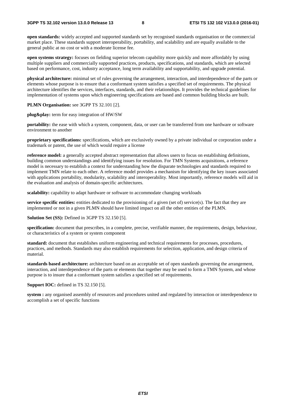**open standards:** widely accepted and supported standards set by recognised standards organisation or the commercial market place. These standards support interoperability, portability, and scalability and are equally available to the general public at no cost or with a moderate license fee.

**open systems strategy:** focuses on fielding superior telecom capability more quickly and more affordably by using multiple suppliers and commercially supported practices, products, specifications, and standards, which are selected based on performance, cost, industry acceptance, long term availability and supportability, and upgrade potential.

**physical architecture:** minimal set of rules governing the arrangement, interaction, and interdependence of the parts or elements whose purpose is to ensure that a conformant system satisfies a specified set of requirements. The physical architecture identifies the services, interfaces, standards, and their relationships. It provides the technical guidelines for implementation of systems upon which engineering specifications are based and common building blocks are built.

**PLMN Organisation:** see 3GPP TS 32.101 [2].

**plug&play:** term for easy integration of HW/SW

**portability:** the ease with which a system, component, data, or user can be transferred from one hardware or software environment to another

**proprietary specifications:** specifications, which are exclusively owned by a private individual or corporation under a trademark or patent, the use of which would require a license

**reference model:** a generally accepted abstract representation that allows users to focus on establishing definitions, building common understandings and identifying issues for resolution. For TMN Systems acquisitions, a reference model is necessary to establish a context for understanding how the disparate technologies and standards required to implement TMN relate to each other. A reference model provides a mechanism for identifying the key issues associated with applications portability, modularity, scalability and interoperability. Most importantly, reference models will aid in the evaluation and analysis of domain-specific architectures.

**scalability:** capability to adapt hardware or software to accommodate changing workloads

**service specific entities:** entities dedicated to the provisioning of a given (set of) service(s). The fact that they are implemented or not in a given PLMN should have limited impact on all the other entities of the PLMN.

**Solution Set (SS):** Defined in 3GPP TS 32.150 [5].

**specification:** document that prescribes, in a complete, precise, verifiable manner, the requirements, design, behaviour, or characteristics of a system or system component

**standard:** document that establishes uniform engineering and technical requirements for processes, procedures, practices, and methods. Standards may also establish requirements for selection, application, and design criteria of material.

**standards based architecture:** architecture based on an acceptable set of open standards governing the arrangement, interaction, and interdependence of the parts or elements that together may be used to form a TMN System, and whose purpose is to insure that a conformant system satisfies a specified set of requirements.

**Support IOC:** defined in TS 32.150 [5].

**system :** any organised assembly of resources and procedures united and regulated by interaction or interdependence to accomplish a set of specific functions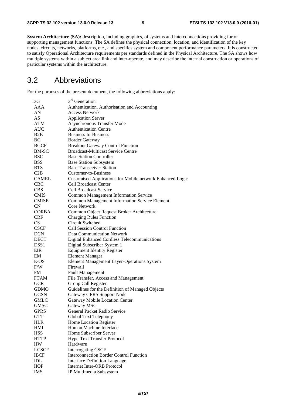**System Architecture (SA):** description, including graphics, of systems and interconnections providing for or supporting management functions. The SA defines the physical connection, location, and identification of the key nodes, circuits, networks, platforms, etc., and specifies system and component performance parameters. It is constructed to satisfy Operational Architecture requirements per standards defined in the Physical Architecture. The SA shows how multiple systems within a subject area link and inter-operate, and may describe the internal construction or operations of particular systems within the architecture.

### 3.2 Abbreviations

For the purposes of the present document, the following abbreviations apply:

| 3G               | 3 <sup>rd</sup> Generation                                |
|------------------|-----------------------------------------------------------|
| AAA              | Authentication, Authorisation and Accounting              |
| AN               | <b>Access Network</b>                                     |
| AS               | <b>Application Server</b>                                 |
| <b>ATM</b>       | Asynchronous Transfer Mode                                |
| <b>AUC</b>       | <b>Authentication Centre</b>                              |
| B2B              | Business-to-Business                                      |
| <b>BG</b>        | <b>Border Gateway</b>                                     |
| <b>BGCF</b>      | <b>Breakout Gateway Control Function</b>                  |
| BM-SC            | <b>Broadcast-Multicast Service Centre</b>                 |
| <b>BSC</b>       | <b>Base Station Controller</b>                            |
| <b>BSS</b>       | <b>Base Station Subsystem</b>                             |
| <b>BTS</b>       | <b>Base Transceiver Station</b>                           |
| C2B              | Customer-to-Business                                      |
| <b>CAMEL</b>     | Customised Applications for Mobile network Enhanced Logic |
| <b>CBC</b>       | <b>Cell Broadcast Center</b>                              |
| <b>CBS</b>       | Cell Broadcast Service                                    |
| <b>CMIS</b>      | <b>Common Management Information Service</b>              |
| <b>CMISE</b>     | <b>Common Management Information Service Element</b>      |
| CN               | <b>Core Network</b>                                       |
| <b>CORBA</b>     |                                                           |
| <b>CRF</b>       | Common Object Request Broker Architecture                 |
| CS               | <b>Charging Rules Function</b><br>Circuit Switched        |
|                  | <b>Call Session Control Function</b>                      |
| <b>CSCF</b>      |                                                           |
| <b>DCN</b>       | Data Communication Network                                |
| <b>DECT</b>      | <b>Digital Enhanced Cordless Telecommunications</b>       |
| DSS <sub>1</sub> | Digital Subscriber System 1                               |
| EIR              | <b>Equipment Identity Register</b>                        |
| EM               | <b>Element Manager</b>                                    |
| E-OS             | Element Management Layer-Operations System                |
| F/W              | Firewall                                                  |
| FM.              | <b>Fault Management</b>                                   |
| <b>FTAM</b>      | File Transfer, Access and Management                      |
| <b>GCR</b>       | Group Call Register                                       |
| <b>GDMO</b>      | Guidelines for the Definition of Managed Objects          |
| <b>GGSN</b>      | Gateway GPRS Support Node                                 |
| <b>GMLC</b>      | <b>Gateway Mobile Location Center</b>                     |
| <b>GMSC</b>      | Gateway MSC                                               |
| <b>GPRS</b>      | General Packet Radio Service                              |
| <b>GTT</b>       | Global Text Telephony                                     |
| <b>HLR</b>       | Home Location Register                                    |
| <b>HMI</b>       | Human Machine Interface                                   |
| <b>HSS</b>       | Home Subscriber Server                                    |
| <b>HTTP</b>      | HyperText Transfer Protocol                               |
| HW               | Hardware                                                  |
| I-CSCF           | <b>Interrogating CSCF</b>                                 |
| <b>IBCF</b>      | <b>Interconnection Border Control Function</b>            |
| IDL              | <b>Interface Definition Language</b>                      |
| <b>IIOP</b>      | Internet Inter-ORB Protocol                               |
| <b>IMS</b>       | IP Multimedia Subsystem                                   |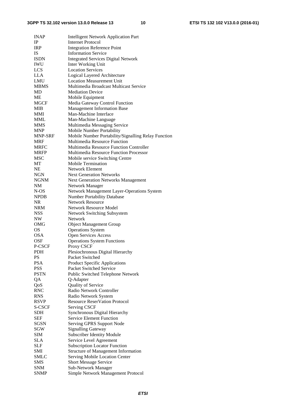| <b>INAP</b>    | <b>Intelligent Network Application Part</b>         |
|----------------|-----------------------------------------------------|
| $\rm IP$       | <b>Internet Protocol</b>                            |
| <b>IRP</b>     | <b>Integration Reference Point</b>                  |
| <b>IS</b>      | <b>Information Service</b>                          |
| <b>ISDN</b>    | <b>Integrated Services Digital Network</b>          |
| IWU            | Inter Working Unit                                  |
| <b>LCS</b>     | <b>Location Services</b>                            |
| <b>LLA</b>     | Logical Layered Architecture                        |
| <b>LMU</b>     | <b>Location Measurement Unit</b>                    |
| <b>MBMS</b>    | Multimedia Broadcast Multicast Service              |
| MD             | <b>Mediation Device</b>                             |
| ME             | Mobile Equipment                                    |
| <b>MGCF</b>    | Media Gateway Control Function                      |
| <b>MIB</b>     | <b>Management Information Base</b>                  |
| MMI            | Man-Machine Interface                               |
| <b>MML</b>     | Man-Machine Language                                |
| <b>MMS</b>     | Multimedia Messaging Service                        |
| <b>MNP</b>     | Mobile Number Portability                           |
| <b>MNP-SRF</b> | Mobile Number Portability/Signalling Relay Function |
| MRF            | Multimedia Resource Function                        |
| <b>MRFC</b>    | Multimedia Resource Function Controller             |
| <b>MRFP</b>    | Multimedia Resource Function Processor              |
| MSC            | Mobile service Switching Centre                     |
| MT             | Mobile Termination                                  |
| <b>NE</b>      | <b>Network Element</b>                              |
| <b>NGN</b>     | <b>Next Generation Networks</b>                     |
| NGNM           | <b>Next Generation Networks Management</b>          |
| NM             | Network Manager                                     |
| N-OS           | Network Management Layer-Operations System          |
| <b>NPDB</b>    | <b>Number Portability Database</b>                  |
| <b>NR</b>      | <b>Network Resource</b>                             |
| <b>NRM</b>     | <b>Network Resource Model</b>                       |
| <b>NSS</b>     | <b>Network Switching Subsystem</b>                  |
| NW             | Network                                             |
| OMG            | <b>Object Management Group</b>                      |
| <b>OS</b>      | <b>Operations System</b>                            |
| <b>OSA</b>     | Open Services Access                                |
| <b>OSF</b>     | <b>Operations System Functions</b>                  |
| P-CSCF         | Proxy CSCF                                          |
| PDH            | Plesiochronous Digital Hierarchy                    |
| <b>PS</b>      | Packet Switched                                     |
| <b>PSA</b>     | <b>Product Specific Applications</b>                |
| <b>PSS</b>     | Packet Switched Service                             |
| <b>PSTN</b>    | Public Switched Telephone Network                   |
| QA             | Q-Adapter                                           |
| QoS            | Quality of Service                                  |
| <b>RNC</b>     | Radio Network Controller                            |
| <b>RNS</b>     | Radio Network System                                |
| <b>RSVP</b>    | <b>Resource ReserVation Protocol</b>                |
| S-CSCF         | <b>Serving CSCF</b>                                 |
| <b>SDH</b>     | Synchronous Digital Hierarchy                       |
| SEF            | <b>Service Element Function</b>                     |
| SGSN           | Serving GPRS Support Node                           |
| SGW            | <b>Signalling Gateway</b>                           |
| <b>SIM</b>     | <b>Subscriber Identity Module</b>                   |
| <b>SLA</b>     | Service Level Agreement                             |
| <b>SLF</b>     | <b>Subscription Locator Function</b>                |
| SMI            | <b>Structure of Management Information</b>          |
| SMLC           | Serving Mobile Location Center                      |
| <b>SMS</b>     | <b>Short Message Service</b>                        |
| <b>SNM</b>     | Sub-Network Manager                                 |
| <b>SNMP</b>    |                                                     |
|                | Simple Network Management Protocol                  |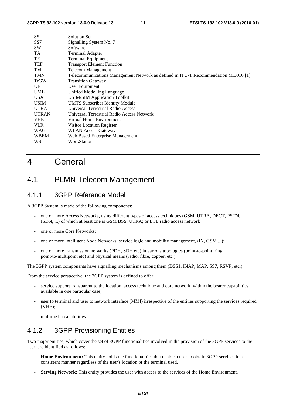| SS              | Solution Set                                                                        |
|-----------------|-------------------------------------------------------------------------------------|
| SS <sub>7</sub> | Signalling System No. 7                                                             |
| <b>SW</b>       | Software                                                                            |
| TA              | <b>Terminal Adapter</b>                                                             |
| TE              | <b>Terminal Equipment</b>                                                           |
| <b>TEF</b>      | <b>Transport Element Function</b>                                                   |
| TM              | <b>Telecom Management</b>                                                           |
| <b>TMN</b>      | Telecommunications Management Network as defined in ITU-T Recommendation M.3010 [1] |
| TrGW            | <b>Transition Gateway</b>                                                           |
| UE              | User Equipment                                                                      |
| <b>UML</b>      | Unified Modelling Language                                                          |
| <b>USAT</b>     | <b>USIM/SIM Application Toolkit</b>                                                 |
| <b>USIM</b>     | <b>UMTS Subscriber Identity Module</b>                                              |
| <b>UTRA</b>     | Universal Terrestrial Radio Access                                                  |
| <b>UTRAN</b>    | Universal Terrestrial Radio Access Network                                          |
| <b>VHE</b>      | Virtual Home Environment                                                            |
| <b>VLR</b>      | Visitor Location Register                                                           |
| WAG             | <b>WLAN Access Gateway</b>                                                          |
| <b>WBEM</b>     | Web Based Enterprise Management                                                     |
| WS              | WorkStation                                                                         |
|                 |                                                                                     |

### 4 General

### 4.1 PLMN Telecom Management

#### 4.1.1 3GPP Reference Model

A 3GPP System is made of the following components:

- one or more Access Networks, using different types of access techniques (GSM, UTRA, DECT, PSTN, ISDN, ...) of which at least one is GSM BSS, UTRA; or LTE radio access network
- one or more Core Networks;
- one or more Intelligent Node Networks, service logic and mobility management, (IN, GSM ...);
- one or more transmission networks (PDH, SDH etc) in various topologies (point-to-point, ring, point-to-multipoint etc) and physical means (radio, fibre, copper, etc.).

The 3GPP system components have signalling mechanisms among them (DSS1, INAP, MAP, SS7, RSVP, etc.).

From the service perspective, the 3GPP system is defined to offer:

- service support transparent to the location, access technique and core network, within the bearer capabilities available in one particular case;
- user to terminal and user to network interface (MMI) irrespective of the entities supporting the services required (VHE);
- multimedia capabilities.

#### 4.1.2 3GPP Provisioning Entities

Two major entities, which cover the set of 3GPP functionalities involved in the provision of the 3GPP services to the user, are identified as follows:

- **Home Environment:** This entity holds the functionalities that enable a user to obtain 3GPP services in a consistent manner regardless of the user's location or the terminal used.
- **Serving Network:** This entity provides the user with access to the services of the Home Environment.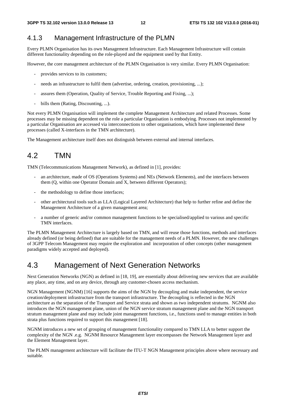#### 4.1.3 Management Infrastructure of the PLMN

Every PLMN Organisation has its own Management Infrastructure. Each Management Infrastructure will contain different functionality depending on the role-played and the equipment used by that Entity.

However, the core management architecture of the PLMN Organisation is very similar. Every PLMN Organisation:

- provides services to its customers;
- needs an infrastructure to fulfil them (advertise, ordering, creation, provisioning, ...);
- assures them (Operation, Quality of Service, Trouble Reporting and Fixing, ...);
- bills them (Rating, Discounting, ...).

Not every PLMN Organisation will implement the complete Management Architecture and related Processes. Some processes may be missing dependent on the role a particular Organisation is embodying. Processes not implemented by a particular Organisation are accessed via interconnections to other organisations, which have implemented these processes (called X-interfaces in the TMN architecture).

The Management architecture itself does not distinguish between external and internal interfaces.

### 4.2 TMN

TMN (Telecommunications Management Network), as defined in [1], provides:

- an architecture, made of OS (Operations Systems) and NEs (Network Elements), and the interfaces between them (Q, within one Operator Domain and X, between different Operators);
- the methodology to define those interfaces;
- other architectural tools such as LLA (Logical Layered Architecture) that help to further refine and define the Management Architecture of a given management area;
- a number of generic and/or common management functions to be specialised/applied to various and specific TMN interfaces.

The PLMN Management Architecture is largely based on TMN, and will reuse those functions, methods and interfaces already defined (or being defined) that are suitable for the management needs of a PLMN. However, the new challenges of 3GPP Telecom Management may require the exploration and incorporation of other concepts (other management paradigms widely accepted and deployed).

### 4.3 Management of Next Generation Networks

Next Generation Networks (NGN) as defined in [18, 19], are essentially about delivering new services that are available any place, any time, and on any device, through any customer-chosen access mechanism.

NGN Management (NGNM) [16] supports the aims of the NGN by decoupling and make independent, the service creation/deployment infrastructure from the transport infrastructure. The decoupling is reflected in the NGN architecture as the separation of the Transport and Service strata and shown as two independent stratums. NGNM also introduces the NGN management plane, union of the NGN service stratum management plane and the NGN transport stratum management plane and may include joint management functions, i.e., functions used to manage entities in both strata plus functions required to support this management [18].

NGNM introduces a new set of grouping of management functionality compared to TMN LLA to better support the complexity of the NGN .e.g. NGNM Resource Management layer encompasses the Network Management layer and the Element Management layer.

The PLMN management architecture will facilitate the ITU-T NGN Management principles above where necessary and suitable.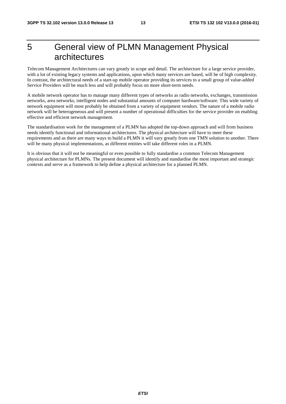### 5 General view of PLMN Management Physical architectures

Telecom Management Architectures can vary greatly in scope and detail. The architecture for a large service provider, with a lot of existing legacy systems and applications, upon which many services are based, will be of high complexity. In contrast, the architectural needs of a start-up mobile operator providing its services to a small group of value-added Service Providers will be much less and will probably focus on more short-term needs.

A mobile network operator has to manage many different types of networks as radio networks, exchanges, transmission networks, area networks, intelligent nodes and substantial amounts of computer hardware/software. This wide variety of network equipment will most probably be obtained from a variety of equipment vendors. The nature of a mobile radio network will be heterogeneous and will present a number of operational difficulties for the service provider on enabling effective and efficient network management.

The standardisation work for the management of a PLMN has adopted the top-down approach and will from business needs identify functional and informational architectures. The physical architecture will have to meet these requirements and as there are many ways to build a PLMN it will vary greatly from one TMN solution to another. There will be many physical implementations, as different entities will take different roles in a PLMN.

It is obvious that it will not be meaningful or even possible to fully standardise a common Telecom Management physical architecture for PLMNs. The present document will identify and standardise the most important and strategic contexts and serve as a framework to help define a physical architecture for a planned PLMN.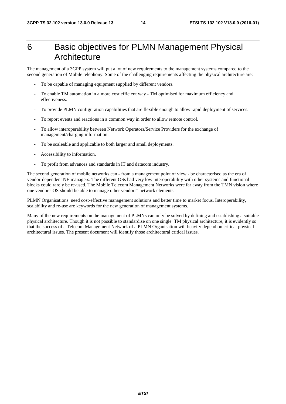### 6 Basic objectives for PLMN Management Physical **Architecture**

The management of a 3GPP system will put a lot of new requirements to the management systems compared to the second generation of Mobile telephony. Some of the challenging requirements affecting the physical architecture are:

- To be capable of managing equipment supplied by different vendors.
- To enable TM automation in a more cost efficient way TM optimised for maximum efficiency and effectiveness.
- To provide PLMN configuration capabilities that are flexible enough to allow rapid deployment of services.
- To report events and reactions in a common way in order to allow remote control.
- To allow interoperability between Network Operators/Service Providers for the exchange of management/charging information.
- To be scaleable and applicable to both larger and small deployments.
- Accessibility to information.
- To profit from advances and standards in IT and datacom industry.

The second generation of mobile networks can - from a management point of view - be characterised as the era of vendor-dependent NE managers. The different OSs had very low interoperability with other systems and functional blocks could rarely be re-used. The Mobile Telecom Management Networks were far away from the TMN vision where one vendor's OS should be able to manage other vendors" network elements.

PLMN Organisations need cost-effective management solutions and better time to market focus. Interoperability, scalability and re-use are keywords for the new generation of management systems.

Many of the new requirements on the management of PLMNs can only be solved by defining and establishing a suitable physical architecture. Though it is not possible to standardise on one single TM physical architecture, it is evidently so that the success of a Telecom Management Network of a PLMN Organisation will heavily depend on critical physical architectural issues. The present document will identify those architectural critical issues.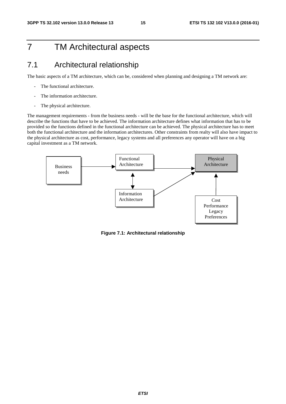### 7 TM Architectural aspects

### 7.1 Architectural relationship

The basic aspects of a TM architecture, which can be, considered when planning and designing a TM network are:

- The functional architecture.
- The information architecture.
- The physical architecture.

The management requirements - from the business needs - will be the base for the functional architecture, which will describe the functions that have to be achieved. The information architecture defines what information that has to be provided so the functions defined in the functional architecture can be achieved. The physical architecture has to meet both the functional architecture and the information architectures. Other constraints from realty will also have impact to the physical architecture as cost, performance, legacy systems and all preferences any operator will have on a big capital investment as a TM network.



**Figure 7.1: Architectural relationship**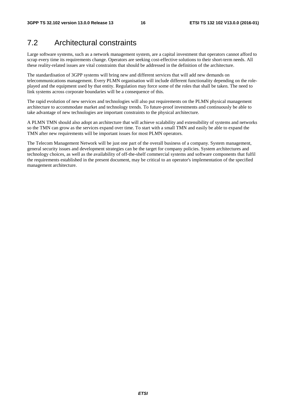### 7.2 Architectural constraints

Large software systems, such as a network management system, are a capital investment that operators cannot afford to scrap every time its requirements change. Operators are seeking cost-effective solutions to their short-term needs. All these reality-related issues are vital constraints that should be addressed in the definition of the architecture.

The standardisation of 3GPP systems will bring new and different services that will add new demands on telecommunications management. Every PLMN organisation will include different functionality depending on the roleplayed and the equipment used by that entity. Regulation may force some of the roles that shall be taken. The need to link systems across corporate boundaries will be a consequence of this.

The rapid evolution of new services and technologies will also put requirements on the PLMN physical management architecture to accommodate market and technology trends. To future-proof investments and continuously be able to take advantage of new technologies are important constraints to the physical architecture.

A PLMN TMN should also adopt an architecture that will achieve scalability and extensibility of systems and networks so the TMN can grow as the services expand over time. To start with a small TMN and easily be able to expand the TMN after new requirements will be important issues for most PLMN operators.

The Telecom Management Network will be just one part of the overall business of a company. System management, general security issues and development strategies can be the target for company policies. System architectures and technology choices, as well as the availability of off-the-shelf commercial systems and software components that fulfil the requirements established in the present document, may be critical to an operator's implementation of the specified management architecture.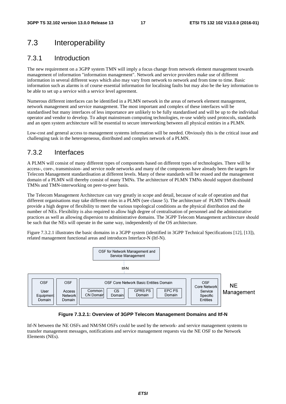### 7.3 Interoperability

#### 7.3.1 Introduction

The new requirement on a 3GPP system TMN will imply a focus change from network element management towards management of information "information management". Network and service providers make use of different information in several different ways which also may vary from network to network and from time to time. Basic information such as alarms is of course essential information for localising faults but may also be the key information to be able to set up a service with a service level agreement.

Numerous different interfaces can be identified in a PLMN network in the areas of network element management, network management and service management. The most important and complex of these interfaces will be standardised but many interfaces of less importance are unlikely to be fully standardised and will be up to the individual operator and vendor to develop. To adopt mainstream computing technologies, re-use widely used protocols, standards and an open system architecture will be essential to secure interworking between all physical entities in a PLMN.

Low-cost and general access to management systems information will be needed. Obviously this is the critical issue and challenging task in the heterogeneous, distributed and complex network of a PLMN.

### 7.3.2 Interfaces

A PLMN will consist of many different types of components based on different types of technologies. There will be access-, core-, transmission- and service node networks and many of the components have already been the targets for Telecom Management standardisation at different levels. Many of these standards will be reused and the management domain of a PLMN will thereby consist of many TMNs. The architecture of PLMN TMNs should support distributed TMNs and TMN-interworking on peer-to-peer basis.

The Telecom Management Architecture can vary greatly in scope and detail, because of scale of operation and that different organisations may take different roles in a PLMN (see clause 5). The architecture of PLMN TMNs should provide a high degree of flexibility to meet the various topological conditions as the physical distribution and the number of NEs. Flexibility is also required to allow high degree of centralisation of personnel and the administrative practices as well as allowing dispersion to administrative domains. The 3GPP Telecom Management architecture should be such that the NEs will operate in the same way, independently of the OS architecture.

Figure 7.3.2.1 illustrates the basic domains in a 3GPP system (identified in 3GPP Technical Specifications [12], [13]), related management functional areas and introduces Interface-N (Itf-N).



#### **Figure 7.3.2.1: Overview of 3GPP Telecom Management Domains and Itf-N**

Itf-N between the NE OSFs and NM/SM OSFs could be used by the network- and service management systems to transfer management messages, notifications and service management requests via the NE OSF to the Network Elements (NEs).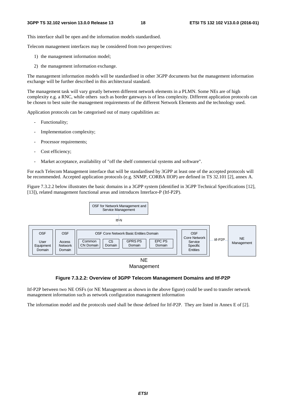This interface shall be open and the information models standardised.

Telecom management interfaces may be considered from two perspectives:

- 1) the management information model;
- 2) the management information exchange.

The management information models will be standardised in other 3GPP documents but the management information exchange will be further described in this architectural standard.

The management task will vary greatly between different network elements in a PLMN. Some NEs are of high complexity e.g. a RNC, while others such as border gateways is of less complexity. Different application protocols can be chosen to best suite the management requirements of the different Network Elements and the technology used.

Application protocols can be categorised out of many capabilities as:

- Functionality;
- Implementation complexity;
- Processor requirements;
- Cost efficiency;
- Market acceptance, availability of "off the shelf commercial systems and software".

For each Telecom Management interface that will be standardised by 3GPP at least one of the accepted protocols will be recommended. Accepted application protocols (e.g. SNMP, CORBA IIOP) are defined in TS 32.101 [2], annex A.

Figure 7.3.2.2 below illustrates the basic domains in a 3GPP system (identified in 3GPP Technical Specifications [12], [13]), related management functional areas and introduces Interface-P (Itf-P2P).



#### **Figure 7.3.2.2: Overview of 3GPP Telecom Management Domains and Itf-P2P**

Itf-P2P between two NE OSFs (or NE Management as shown in the above figure) could be used to transfer network management information such as network configuration management information

The information model and the protocols used shall be those defined for Itf-P2P. They are listed in Annex E of [2].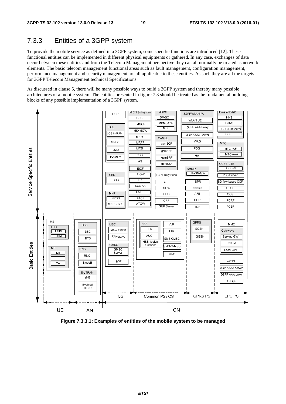### 7.3.3 Entities of a 3GPP system

To provide the mobile service as defined in a 3GPP system, some specific functions are introduced [12]. These functional entities can be implemented in different physical equipments or gathered. In any case, exchanges of data occur between these entities and from the Telecom Management perspective they can all normally be treated as network elements. The basic telecom management functional areas such as fault management, configuration management, performance management and security management are all applicable to these entities. As such they are all the targets for 3GPP Telecom Management technical Specifications.

As discussed in clause 5, there will be many possible ways to build a 3GPP system and thereby many possible architectures of a mobile system. The entities presented in figure 7.3 should be treated as the fundamental building blocks of any possible implementation of a 3GPP system.



**Figure 7.3.3.1: Examples of entities of the mobile system to be managed**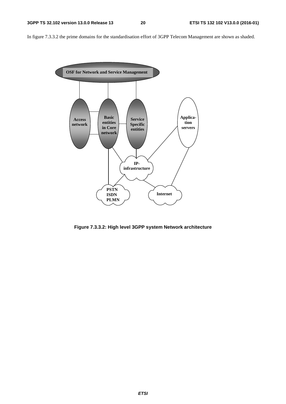In figure 7.3.3.2 the prime domains for the standardisation effort of 3GPP Telecom Management are shown as shaded.



**Figure 7.3.3.2: High level 3GPP system Network architecture**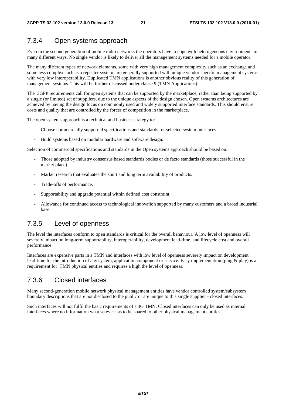### 7.3.4 Open systems approach

Even in the second generation of mobile radio networks the operators have to cope with heterogeneous environments in many different ways. No single vendor is likely to deliver all the management systems needed for a mobile operator.

The many different types of network elements, some with very high management complexity such as an exchange and some less complex such as a repeater system, are generally supported with unique vendor specific management systems with very low interoperability. Duplicated TMN applications is another obvious reality of this generation of management systems. This will be further discussed under clause 9 (TMN Applications).

The 3GPP requirements call for open systems that can be supported by the marketplace, rather than being supported by a single (or limited) set of suppliers, due to the unique aspects of the design chosen. Open systems architectures are achieved by having the design focus on commonly used and widely supported interface standards. This should ensure costs and quality that are controlled by the forces of competition in the marketplace.

The open systems approach is a technical and business strategy to:

- Choose commercially supported specifications and standards for selected system interfaces.
- Build systems based on modular hardware and software design.

Selection of commercial specifications and standards in the Open systems approach should be based on:

- Those adopted by industry consensus based standards bodies or de facto standards (those successful in the market place).
- Market research that evaluates the short and long term availability of products.
- Trade-offs of performance.
- Supportability and upgrade potential within defined cost constraint.
- Allowance for continued access to technological innovation supported by many customers and a broad industrial base.

#### 7.3.5 Level of openness

The level the interfaces conform to open standards is critical for the overall behaviour. A low level of openness will severely impact on long-term supportability, interoperability, development lead-time, and lifecycle cost and overall performance.

Interfaces are expensive parts in a TMN and interfaces with low level of openness severely impact on development lead-time for the introduction of any system, application component or service. Easy implementation (plug & play) is a requirement for TMN physical entities and requires a high the level of openness.

#### 7.3.6 Closed interfaces

Many second-generation mobile network physical management entities have vendor controlled system/subsystem boundary descriptions that are not disclosed to the public or are unique to this single supplier - closed interfaces.

Such interfaces will not fulfil the basic requirements of a 3G TMN. Closed interfaces can only be used as internal interfaces where no information what so ever has to be shared to other physical management entities.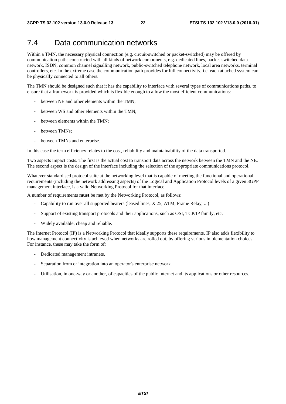### 7.4 Data communication networks

Within a TMN, the necessary physical connection (e.g. circuit-switched or packet-switched) may be offered by communication paths constructed with all kinds of network components, e.g. dedicated lines, packet-switched data network, ISDN, common channel signalling network, public-switched telephone network, local area networks, terminal controllers, etc. In the extreme case the communication path provides for full connectivity, i.e. each attached system can be physically connected to all others.

The TMN should be designed such that it has the capability to interface with several types of communications paths, to ensure that a framework is provided which is flexible enough to allow the most efficient communications:

- between NE and other elements within the TMN;
- between WS and other elements within the TMN;
- between elements within the TMN;
- between TMNs:
- between TMNs and enterprise.

In this case the term efficiency relates to the cost, reliability and maintainability of the data transported.

Two aspects impact costs. The first is the actual cost to transport data across the network between the TMN and the NE. The second aspect is the design of the interface including the selection of the appropriate communications protocol.

Whatever standardised protocol suite at the networking level that is capable of meeting the functional and operational requirements (including the network addressing aspects) of the Logical and Application Protocol levels of a given 3GPP management interface, is a valid Networking Protocol for that interface.

A number of requirements **must** be met by the Networking Protocol, as follows:

- Capability to run over all supported bearers (leased lines, X.25, ATM, Frame Relay, ...)
- Support of existing transport protocols and their applications, such as OSI, TCP/IP family, etc.
- Widely available, cheap and reliable.

The Internet Protocol (IP) is a Networking Protocol that ideally supports these requirements. IP also adds flexibility to how management connectivity is achieved when networks are rolled out, by offering various implementation choices. For instance, these may take the form of:

- Dedicated management intranets.
- Separation from or integration into an operator's enterprise network.
- Utilisation, in one-way or another, of capacities of the public Internet and its applications or other resources.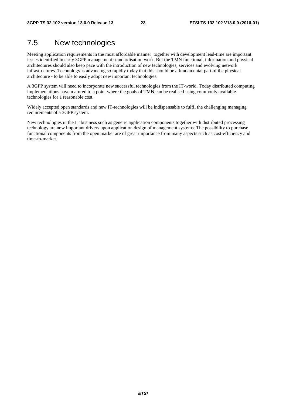### 7.5 New technologies

Meeting application requirements in the most affordable manner together with development lead-time are important issues identified in early 3GPP management standardisation work. But the TMN functional, information and physical architectures should also keep pace with the introduction of new technologies, services and evolving network infrastructures. Technology is advancing so rapidly today that this should be a fundamental part of the physical architecture - to be able to easily adopt new important technologies.

A 3GPP system will need to incorporate new successful technologies from the IT-world. Today distributed computing implementations have matured to a point where the goals of TMN can be realised using commonly available technologies for a reasonable cost.

Widely accepted open standards and new IT-technologies will be indispensable to fulfil the challenging managing requirements of a 3GPP system.

New technologies in the IT business such as generic application components together with distributed processing technology are new important drivers upon application design of management systems. The possibility to purchase functional components from the open market are of great importance from many aspects such as cost-efficiency and time-to-market.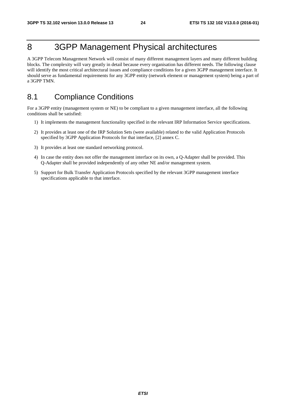### 8 3GPP Management Physical architectures

A 3GPP Telecom Management Network will consist of many different management layers and many different building blocks. The complexity will vary greatly in detail because every organisation has different needs. The following clause will identify the most critical architectural issues and compliance conditions for a given 3GPP management interface. It should serve as fundamental requirements for any 3GPP entity (network element or management system) being a part of a 3GPP TMN.

### 8.1 Compliance Conditions

For a 3GPP entity (management system or NE) to be compliant to a given management interface, all the following conditions shall be satisfied:

- 1) It implements the management functionality specified in the relevant IRP Information Service specifications.
- 2) It provides at least one of the IRP Solution Sets (were available) related to the valid Application Protocols specified by 3GPP Application Protocols for that interface, [2] annex C.
- 3) It provides at least one standard networking protocol.
- 4) In case the entity does not offer the management interface on its own, a Q-Adapter shall be provided. This Q-Adapter shall be provided independently of any other NE and/or management system.
- 5) Support for Bulk Transfer Application Protocols specified by the relevant 3GPP management interface specifications applicable to that interface.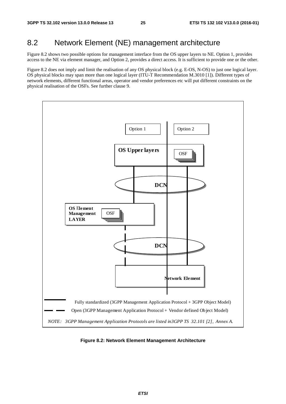### 8.2 Network Element (NE) management architecture

Figure 8.2 shows two possible options for management interface from the OS upper layers to NE. Option 1, provides access to the NE via element manager, and Option 2, provides a direct access. It is sufficient to provide one or the other.

Figure 8.2 does not imply and limit the realisation of any OS physical block (e.g. E-OS, N-OS) to just one logical layer. OS physical blocks may span more than one logical layer (ITU-T Recommendation M.3010 [1]). Different types of network elements, different functional areas, operator and vendor preferences etc will put different constraints on the physical realisation of the OSFs. See further clause 9.



**Figure 8.2: Network Element Management Architecture**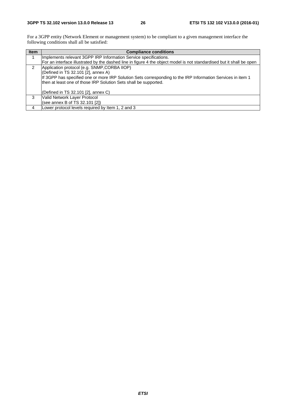For a 3GPP entity (Network Element or management system) to be compliant to a given management interface the following conditions shall all be satisfied:

| <b>Item</b> | <b>Compliance conditions</b>                                                                                          |  |  |  |
|-------------|-----------------------------------------------------------------------------------------------------------------------|--|--|--|
|             | Implements relevant 3GPP IRP Information Service specifications.                                                      |  |  |  |
|             | For an interface illustrated by the dashed line in figure 4 the object model is not standardised but it shall be open |  |  |  |
| 2           | Application protocol (e.g. SNMP, CORBA IIOP)                                                                          |  |  |  |
|             | (Defined in TS 32.101 [2], annex A)                                                                                   |  |  |  |
|             | If 3GPP has specified one or more IRP Solution Sets corresponding to the IRP Information Services in item 1           |  |  |  |
|             | then at least one of those IRP Solution Sets shall be supported.                                                      |  |  |  |
|             | (Defined in TS 32.101 [2], annex C)                                                                                   |  |  |  |
| 3           | Valid Network Layer Protocol                                                                                          |  |  |  |
|             | (see annex B of TS 32.101 [2])                                                                                        |  |  |  |
| 4           | Lower protocol levels required by Item 1, 2 and 3                                                                     |  |  |  |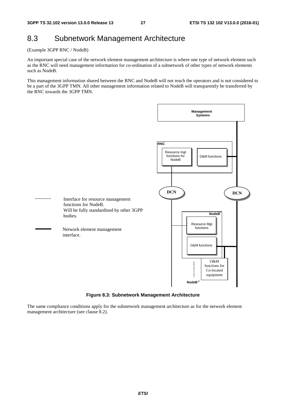### 8.3 Subnetwork Management Architecture

(Example 3GPP RNC / NodeB)

An important special case of the network element management architecture is where one type of network element such as the RNC will need management information for co-ordination of a subnetwork of other types of network elements such as NodeB.

This management information shared between the RNC and NodeB will not reach the operators and is not considered to be a part of the 3GPP TMN. All other management information related to NodeB will transparently be transferred by the RNC towards the 3GPP TMN.



**Figure 8.3: Subnetwork Management Architecture** 

The same compliance conditions apply for the subnetwork management architecture as for the network element management architecture (see clause 8.2).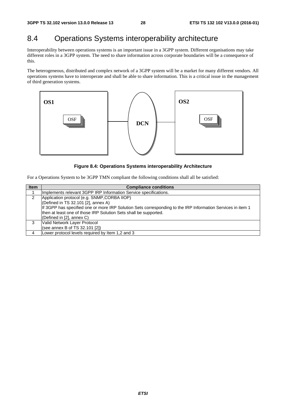### 8.4 Operations Systems interoperability architecture

Interoperability between operations systems is an important issue in a 3GPP system. Different organisations may take different roles in a 3GPP system. The need to share information across corporate boundaries will be a consequence of this.

The heterogeneous, distributed and complex network of a 3GPP system will be a market for many different vendors. All operations systems have to interoperate and shall be able to share information. This is a critical issue in the management of third generation systems.



#### **Figure 8.4: Operations Systems interoperability Architecture**

For a Operations System to be 3GPP TMN compliant the following conditions shall all be satisfied:

| <b>Item</b>   | <b>Compliance conditions</b>                                                                                |  |  |  |  |
|---------------|-------------------------------------------------------------------------------------------------------------|--|--|--|--|
|               | Implements relevant 3GPP IRP Information Service specifications.                                            |  |  |  |  |
| $\mathcal{P}$ | Application protocol (e.g. SNMP, CORBA IIOP)                                                                |  |  |  |  |
|               | (Defined in TS 32.101 [2], annex A)                                                                         |  |  |  |  |
|               | If 3GPP has specified one or more IRP Solution Sets corresponding to the IRP Information Services in item 1 |  |  |  |  |
|               | then at least one of those IRP Solution Sets shall be supported.                                            |  |  |  |  |
|               | (Defined in [2], annex C)                                                                                   |  |  |  |  |
| 3             | Valid Network Layer Protocol                                                                                |  |  |  |  |
|               | (see annex B of TS 32.101 [2])                                                                              |  |  |  |  |
|               | Lower protocol levels required by Item 1,2 and 3                                                            |  |  |  |  |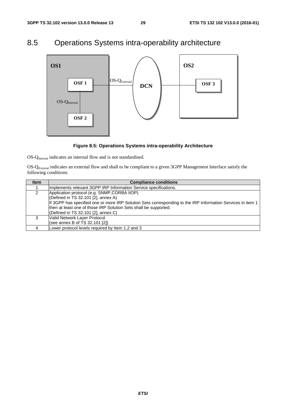### 8.5 Operations Systems intra-operability architecture



#### **Figure 8.5: Operations Systems intra-operability Architecture**

OS-Q<sub>Internal</sub> indicates an internal flow and is not standardised.

OS-QExternal indicates an external flow and shall to be compliant to a given 3GPP Management Interface satisfy the following conditions:

| <b>Item</b> | <b>Compliance conditions</b>                                                                                |  |  |  |  |
|-------------|-------------------------------------------------------------------------------------------------------------|--|--|--|--|
|             | Implements relevant 3GPP IRP Information Service specifications.                                            |  |  |  |  |
| 2           | Application protocol (e.g. SNMP, CORBA IIOP)                                                                |  |  |  |  |
|             | (Defined in TS 32.101 [2], annex A)                                                                         |  |  |  |  |
|             | If 3GPP has specified one or more IRP Solution Sets corresponding to the IRP Information Services in item 1 |  |  |  |  |
|             | then at least one of those IRP Solution Sets shall be supported.                                            |  |  |  |  |
|             | (Defined in TS 32.101 [2], annex C)                                                                         |  |  |  |  |
| 3           | Valid Network Layer Protocol                                                                                |  |  |  |  |
|             | (see annex B of TS 32.101 [2])                                                                              |  |  |  |  |
|             | Lower protocol levels required by Item 1,2 and 3                                                            |  |  |  |  |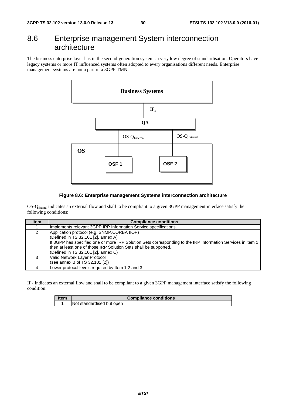### 8.6 Enterprise management System interconnection architecture

The business enterprise layer has in the second-generation systems a very low degree of standardisation. Operators have legacy systems or more IT influenced systems often adopted to every organisations different needs. Enterprise management systems are not a part of a 3GPP TMN.



#### **Figure 8.6: Enterprise management Systems interconnection architecture**

OS-QExteral indicates an external flow and shall to be compliant to a given 3GPP management interface satisfy the following conditions:

| <b>Item</b> | <b>Compliance conditions</b>                                                                                |  |  |  |  |  |
|-------------|-------------------------------------------------------------------------------------------------------------|--|--|--|--|--|
|             | Implements relevant 3GPP IRP Information Service specifications.                                            |  |  |  |  |  |
| 2           | Application protocol (e.g. SNMP, CORBA IIOP)                                                                |  |  |  |  |  |
|             | (Defined in TS 32.101 [2], annex A)                                                                         |  |  |  |  |  |
|             | If 3GPP has specified one or more IRP Solution Sets corresponding to the IRP Information Services in item 1 |  |  |  |  |  |
|             | then at least one of those IRP Solution Sets shall be supported.                                            |  |  |  |  |  |
|             | (Defined in TS 32.101 [2], annex C)                                                                         |  |  |  |  |  |
| 3           | Valid Network Layer Protocol                                                                                |  |  |  |  |  |
|             | (see annex B of TS 32.101 [2])                                                                              |  |  |  |  |  |
|             | Lower protocol levels required by Item 1,2 and 3                                                            |  |  |  |  |  |

 $IF<sub>X</sub>$  indicates an external flow and shall to be compliant to a given 3GPP management interface satisfy the following condition:

| ltem | <b>Compliance conditions</b> |  |
|------|------------------------------|--|
|      | Not standardised but open    |  |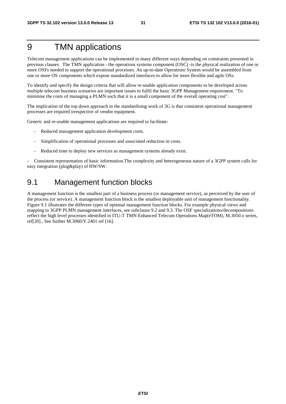### 9 TMN applications

Telecom management applications can be implemented in many different ways depending on constraints presented in previous clauses. The TMN application - the operations systems component (OSC) -is the physical realization of one or more OSFs needed to support the operational processes. An up-to-date Operations System would be assembled from one or more OS components which expose standardized interfaces to allow for more flexible and agile OSs.

To identify and specify the design criteria that will allow re-usable application components to be developed across multiple telecom business scenarios are important issues to fulfil the basic 3GPP Management requirement. "To minimise the costs of managing a PLMN such that it is a small component of the overall operating cost".

The implication of the top down approach in the standardising work of 3G is that consistent operational management processes are required irrespective of vendor equipment.

Generic and re-usable management applications are required to facilitate:

- Reduced management application development costs.
- Simplification of operational processes and associated reduction in costs.
- Reduced time to deploy new services as management systems already exist.

- Consistent representation of basic information.The complexity and heterogeneous nature of a 3GPP system calls for easy integration (plug&play) of HW/SW.

### 9.1 Management function blocks

A management function is the smallest part of a business process (or management service), as perceived by the user of the process (or service). A management function block is the smallest deployable unit of management functionality. Figure 9.1 illustrates the different types of optional management function blocks. For example physical views and mapping to 3GPP PLMN management interfaces, see subclause 9.2 and 9.3. The OSF specializations/decompositions reflect the high level processes identified in ITU-T TMN Enhanced Telecom Operations Map(eTOM), M.3050.x series, ref[20]., See further M.3060/Y.2401 ref [16].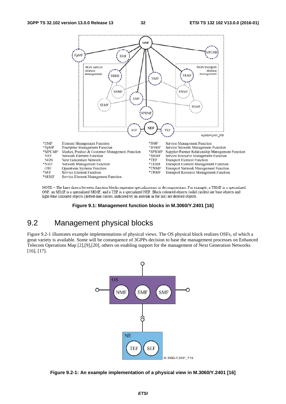

NOTE - The lines drawn between function blocks represent specializations or decompositions. For example, a TRMF is a specialized OSF, an SEMF is a specialized SRMF, and a TEF is a specialized NEF. Black coloured objects (solid circles) are base objects and light-blue coloured objects (dotted-line circles, indicated by an asterisk in the list) are derived objects.

#### **Figure 9.1: Management function blocks in M.3060/Y.2401 [16]**

### 9.2 Management physical blocks

Figure 9.2-1 illustrates example implementations of physical views. The OS physical block realizes OSFs, of which a great variety is available. Some will be consequence of 3GPPs decision to base the management processes on Enhanced Telecom Operations Map [2],[9],[20], others on enabling support for the management of Next Generation Networks [16], [17].



**Figure 9.2-1: An example implementation of a physical view in M.3060/Y.2401 [16]**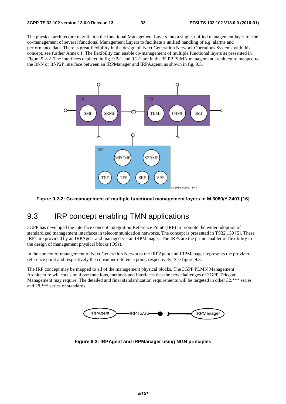The physical architecture may flatten the functional Management Layers into a single, unified management layer for the co-management of several functional Management Layers to facilitate a unified handling of e.g. alarms and performance data. There is great flexibility in the design of Next Generation Network Operations Systems with this concept, see further Annex 1. The flexibility can enable co-management of multiple functional layers as presented in Figure 9.2-2. The interfaces depicted in fig. 9.2-1 and 9.2-2 are in the 3GPP PLMN management architecture mapped to the Itf-N or Itf-P2P interface between an IRPManager and IRPAagent, as shown in fig. 9.3.



**Figure 9.2-2: Co-management of multiple functional management layers in M.3060/Y.2401 [16]** 

### 9.3 IRP concept enabling TMN applications

3GPP has developed the interface concept 'Integration Reference Point' (IRP) to promote the wider adoption of standardized management interfaces in telecommunication networks. The concept is presented in TS32.150 [5]. These IRPs are provided by an IRPAgent and managed via an IRPManager. The IRPs are the prime enabler of flexibility in the design of management physical blocks (OSs).

In the context of management of Next Generation Networks the IRPAgent and IRPManager represents the provider reference point and respectively the consumer reference point, respectively. See figure 9.3.

The IRP concept may be mapped to all of the management physical blocks. The 3GPP PLMN Management Architecture will focus on those functions, methods and interfaces that the new challenges of 3GPP Telecom Management may require. The detailed and final standardization requirements will be targeted in other 32.\*\*\* series and 28.\*\*\* series of standards.



**Figure 9.3: IRPAgent and IRPManager using NGN principles**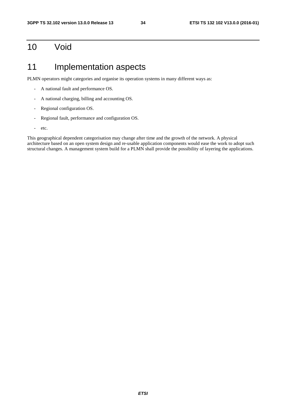### 10 Void

### 11 Implementation aspects

PLMN operators might categories and organise its operation systems in many different ways as:

- A national fault and performance OS.
- A national charging, billing and accounting OS.
- Regional configuration OS.
- Regional fault, performance and configuration OS.
- etc.

This geographical dependent categorisation may change after time and the growth of the network. A physical architecture based on an open system design and re-usable application components would ease the work to adopt such structural changes. A management system build for a PLMN shall provide the possibility of layering the applications.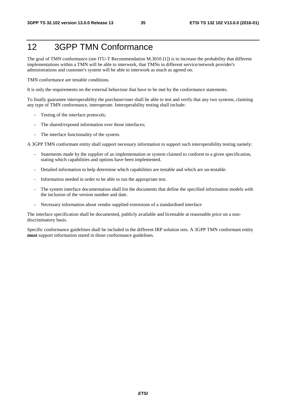### 12 3GPP TMN Conformance

The goal of TMN conformance (see ITU-T Recommendation M.3010 [1]) is to increase the probability that different implementations within a TMN will be able to interwork, that TMNs in different service/network provider's administrations and customer's system will be able to interwork as much as agreed on.

TMN conformance are testable conditions.

It is only the requirements on the external behaviour that have to be met by the conformance statements.

To finally guarantee interoperability the purchaser/user shall be able to test and verify that any two systems, claiming any type of TMN conformance, interoperate. Interoperability testing shall include:

- Testing of the interface protocols;
- The shared/exposed information over those interfaces;
- The interface functionality of the system.

A 3GPP TMN conformant entity shall support necessary information to support such interoperability testing namely:

- Statements made by the supplier of an implementation or system claimed to conform to a given specification, stating which capabilities and options have been implemented.
- Detailed information to help determine which capabilities are testable and which are un-testable.
- Information needed in order to be able to run the appropriate test.
- The system interface documentation shall list the documents that define the specified information models with the inclusion of the version number and date.
- Necessary information about vendor supplied extensions of a standardised interface

The interface specification shall be documented, publicly available and licensable at reasonable price on a nondiscriminatory basis.

Specific conformance guidelines shall be included in the different IRP solution sets. A 3GPP TMN conformant entity **must** support information stated in those conformance guidelines.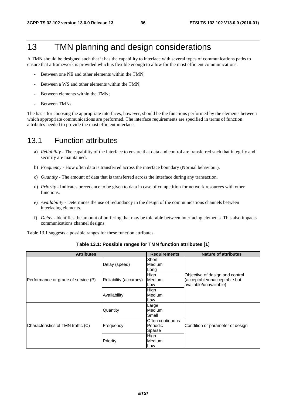### 13 TMN planning and design considerations

A TMN should be designed such that it has the capability to interface with several types of communications paths to ensure that a framework is provided which is flexible enough to allow for the most efficient communications:

- Between one NE and other elements within the TMN;
- Between a WS and other elements within the TMN;
- Between elements within the TMN;
- Between TMNs.

The basis for choosing the appropriate interfaces, however, should be the functions performed by the elements between which appropriate communications are performed. The interface requirements are specified in terms of function attributes needed to provide the most efficient interface.

### 13.1 Function attributes

- a) *Reliability* The capability of the interface to ensure that data and control are transferred such that integrity and security are maintained.
- b) *Frequency* How often data is transferred across the interface boundary (Normal behaviour).
- c) *Quantity* The amount of data that is transferred across the interface during any transaction.
- d) *Priority* Indicates precedence to be given to data in case of competition for network resources with other functions.
- e) *Availability* Determines the use of redundancy in the design of the communications channels between interfacing elements.
- f) *Delay* Identifies the amount of buffering that may be tolerable between interfacing elements. This also impacts communications channel designs.

Table 13.1 suggests a possible ranges for these function attributes.

| <b>Attributes</b>                   |                        | <b>Requirements</b>                    | <b>Nature of attributes</b>                                                               |
|-------------------------------------|------------------------|----------------------------------------|-------------------------------------------------------------------------------------------|
|                                     | Delay (speed)          | Short<br>Medium<br>Long                |                                                                                           |
| Performance or grade of service (P) | Reliability (accuracy) | High<br>Medium<br>Low                  | Objective of design and control<br>(acceptable/unacceptable but<br>available/unavailable) |
|                                     | Availability           | High<br>Medium<br>Low                  |                                                                                           |
|                                     | Quantity               | Large<br><b>Medium</b><br>Small        |                                                                                           |
| Characteristics of TMN traffic (C)  | Frequency              | Often continuous<br>Periodic<br>Sparse | Condition or parameter of design                                                          |
|                                     | Priority               | High<br><b>Medium</b><br>Low           |                                                                                           |

**Table 13.1: Possible ranges for TMN function attributes [1]**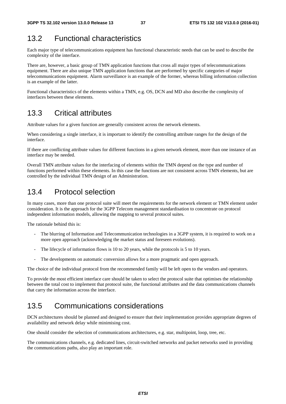### 13.2 Functional characteristics

Each major type of telecommunications equipment has functional characteristic needs that can be used to describe the complexity of the interface.

There are, however, a basic group of TMN application functions that cross all major types of telecommunications equipment. There are also unique TMN application functions that are performed by specific categories of major telecommunications equipment. Alarm surveillance is an example of the former, whereas billing information collection is an example of the latter.

Functional characteristics of the elements within a TMN, e.g. OS, DCN and MD also describe the complexity of interfaces between these elements.

### 13.3 Critical attributes

Attribute values for a given function are generally consistent across the network elements.

When considering a single interface, it is important to identify the controlling attribute ranges for the design of the interface.

If there are conflicting attribute values for different functions in a given network element, more than one instance of an interface may be needed.

Overall TMN attribute values for the interfacing of elements within the TMN depend on the type and number of functions performed within these elements. In this case the functions are not consistent across TMN elements, but are controlled by the individual TMN design of an Administration.

### 13.4 Protocol selection

In many cases, more than one protocol suite will meet the requirements for the network element or TMN element under consideration. It is the approach for the 3GPP Telecom management standardisation to concentrate on protocol independent information models, allowing the mapping to several protocol suites.

The rationale behind this is:

- The blurring of Information and Telecommunication technologies in a 3GPP system, it is required to work on a more open approach (acknowledging the market status and foreseen evolutions).
- The lifecycle of information flows is 10 to 20 years, while the protocols is 5 to 10 years.
- The developments on automatic conversion allows for a more pragmatic and open approach.

The choice of the individual protocol from the recommended family will be left open to the vendors and operators.

To provide the most efficient interface care should be taken to select the protocol suite that optimises the relationship between the total cost to implement that protocol suite, the functional attributes and the data communications channels that carry the information across the interface.

### 13.5 Communications considerations

DCN architectures should be planned and designed to ensure that their implementation provides appropriate degrees of availability and network delay while minimising cost.

One should consider the selection of communications architectures, e.g. star, multipoint, loop, tree, etc.

The communications channels, e.g. dedicated lines, circuit-switched networks and packet networks used in providing the communications paths, also play an important role.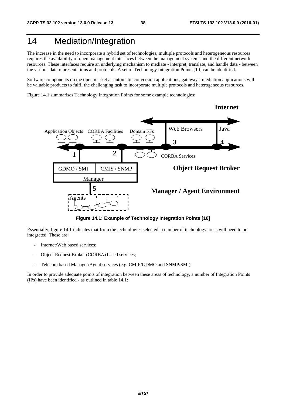### 14 Mediation/Integration

The increase in the need to incorporate a hybrid set of technologies, multiple protocols and heterogeneous resources requires the availability of open management interfaces between the management systems and the different network resources. These interfaces require an underlying mechanism to mediate - interpret, translate, and handle data - between the various data representations and protocols. A set of Technology Integration Points [10] can be identified.

Software components on the open market as automatic conversion applications, gateways, mediation applications will be valuable products to fulfil the challenging task to incorporate multiple protocols and heterogeneous resources.

Figure 14.1 summarises Technology Integration Points for some example technologies:



**Figure 14.1: Example of Technology Integration Points [10]** 

Essentially, figure 14.1 indicates that from the technologies selected, a number of technology areas will need to be integrated. These are:

- Internet/Web based services;
- Object Request Broker (CORBA) based services;
- Telecom based Manager/Agent services (e.g. CMIP/GDMO and SNMP/SMI).

In order to provide adequate points of integration between these areas of technology, a number of Integration Points (IPs) have been identified - as outlined in table 14.1: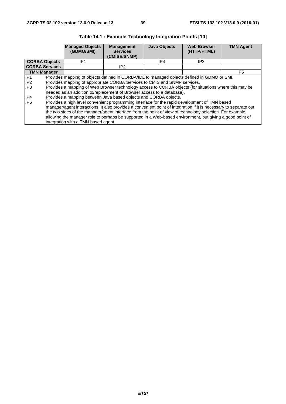|                                                           | <b>Managed Objects</b><br>(GDMO/SMI)                                                                                                                                                                                                                                                                                                                                                                                                                                                                                                                                                                                                                                                                                                                                                                                                                                                                                   | <b>Management</b><br><b>Services</b><br>(CMISE/SNMP) | <b>Java Objects</b> | <b>Web Browser</b><br>(HTTP/HTML) | <b>TMN Agent</b> |  |  |  |
|-----------------------------------------------------------|------------------------------------------------------------------------------------------------------------------------------------------------------------------------------------------------------------------------------------------------------------------------------------------------------------------------------------------------------------------------------------------------------------------------------------------------------------------------------------------------------------------------------------------------------------------------------------------------------------------------------------------------------------------------------------------------------------------------------------------------------------------------------------------------------------------------------------------------------------------------------------------------------------------------|------------------------------------------------------|---------------------|-----------------------------------|------------------|--|--|--|
| <b>CORBA Objects</b>                                      | IP1                                                                                                                                                                                                                                                                                                                                                                                                                                                                                                                                                                                                                                                                                                                                                                                                                                                                                                                    |                                                      | IP4                 | IP3                               |                  |  |  |  |
| <b>CORBA Services</b>                                     |                                                                                                                                                                                                                                                                                                                                                                                                                                                                                                                                                                                                                                                                                                                                                                                                                                                                                                                        | IP <sub>2</sub>                                      |                     |                                   |                  |  |  |  |
| <b>TMN Manager</b>                                        |                                                                                                                                                                                                                                                                                                                                                                                                                                                                                                                                                                                                                                                                                                                                                                                                                                                                                                                        |                                                      |                     |                                   | IP <sub>5</sub>  |  |  |  |
| IP <sub>1</sub><br>IP <sub>2</sub><br>lIP3<br>IP4<br>IIP5 | Provides mapping of objects defined in CORBA/IDL to managed objects defined in GDMO or SMI.<br>Provides mapping of appropriate CORBA Services to CMIS and SNMP services.<br>Provides a mapping of Web Browser technology access to CORBA objects (for situations where this may be<br>needed as an addition to/replacement of Browser access to a database).<br>Provides a mapping between Java based objects and CORBA objects.<br>Provides a high level convenient programming interface for the rapid development of TMN based<br>manager/agent interactions. It also provides a convenient point of integration if it is necessary to separate out<br>the two sides of the manager/agent interface from the point of view of technology selection. For example,<br>allowing the manager role to perhaps be supported in a Web-based environment, but giving a good point of<br>integration with a TMN based agent. |                                                      |                     |                                   |                  |  |  |  |

**Table 14.1 : Example Technology Integration Points [10]**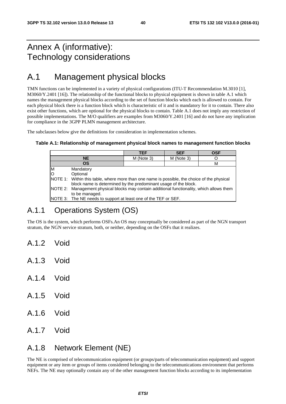### Annex A (informative): Technology considerations

### A.1 Management physical blocks

TMN functions can be implemented in a variety of physical configurations (ITU-T Recommendation M.3010 [1], M3060/Y.2401 [16]). The relationship of the functional blocks to physical equipment is shown in table A.1 which names the management physical blocks according to the set of function blocks which each is allowed to contain. For each physical block there is a function block which is characteristic of it and is mandatory for it to contain. There also exist other functions, which are optional for the physical blocks to contain. Table A.1 does not imply any restriction of possible implementations. The M/O qualifiers are examples from M3060/Y.2401 [16] and do not have any implication for compliance in the 3GPP PLMN management architecture.

The subclauses below give the definitions for consideration in implementation schemes.

#### **Table A.1: Relationship of management physical block names to management function blocks**

|   |                                                                                             | TEF        | <b>SEF</b> | <b>OSF</b> |  |
|---|---------------------------------------------------------------------------------------------|------------|------------|------------|--|
|   | <b>NE</b>                                                                                   | M (Note 3) | M (Note 3) |            |  |
|   | <b>OS</b>                                                                                   |            |            | м          |  |
| M | Mandatory                                                                                   |            |            |            |  |
|   | Optional                                                                                    |            |            |            |  |
|   | NOTE 1: Within this table, where more than one name is possible, the choice of the physical |            |            |            |  |
|   | block name is determined by the predominant usage of the block.                             |            |            |            |  |
|   | NOTE 2: Management physical blocks may contain additional functionality, which allows them  |            |            |            |  |
|   | to be managed.                                                                              |            |            |            |  |
|   | NOTE 3: The NE needs to support at least one of the TEF or SEF.                             |            |            |            |  |

### A.1.1 Operations System (OS)

The OS is the system, which performs OSFs.An OS may conceptually be considered as part of the NGN transport stratum, the NGN service stratum, both, or neither, depending on the OSFs that it realizes.

- A.1.2 Void
- A.1.3 Void
- A.1.4 Void
- A.1.5 Void
- A.1.6 Void
- A.1.7 Void

### A.1.8 Network Element (NE)

The NE is comprised of telecommunication equipment (or groups/parts of telecommunication equipment) and support equipment or any item or groups of items considered belonging to the telecommunications environment that performs NEFs. The NE may optionally contain any of the other management function blocks according to its implementation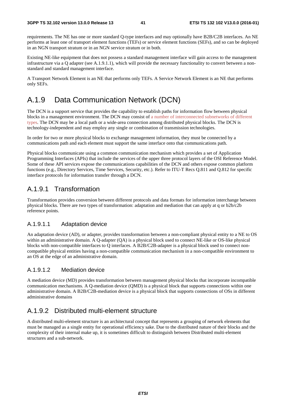requirements. The NE has one or more standard Q-type interfaces and may optionally have B2B/C2B interfaces. An NE performs at least one of transport element functions (TEFs) or service element functions (SEFs), and so can be deployed in an NGN transport stratum or in an NGN service stratum or in both.

Existing NE-like equipment that does not possess a standard management interface will gain access to the management infrastructure via a Q adapter (see A.1.9.1.1), which will provide the necessary functionality to convert between a nonstandard and standard management interface.

A Transport Network Element is an NE that performs only TEFs. A Service Network Element is an NE that performs only SEFs.

### A.1.9 Data Communication Network (DCN)

The DCN is a support service that provides the capability to establish paths for information flow between physical blocks in a management environment. The DCN may consist of a number of interconnected subnetworks of different types. The DCN may be a local path or a wide-area connection among distributed physical blocks. The DCN is technology-independent and may employ any single or combination of transmission technologies.

In order for two or more physical blocks to exchange management information, they must be connected by a communications path and each element must support the same interface onto that communications path.

Physical blocks communicate using a common communication mechanism which provides a set of Application Programming Interfaces (APIs) that include the services of the upper three protocol layers of the OSI Reference Model. Some of these API services expose the communications capabilities of the DCN and others expose common platform functions (e.g., Directory Services, Time Services, Security, etc.). Refer to ITU-T Recs Q.811 and Q.812 for specific interface protocols for information transfer through a DCN.

#### A.1.9.1 Transformation

Transformation provides conversion between different protocols and data formats for information interchange between physical blocks. There are two types of transformation: adaptation and mediation that can apply at q or b2b/c2b reference points.

#### A.1.9.1.1 Adaptation device

An adaptation device (AD), or adapter, provides transformation between a non-compliant physical entity to a NE to OS within an administrative domain. A Q-adapter (QA) is a physical block used to connect NE-like or OS-like physical blocks with non-compatible interfaces to Q interfaces. A B2B/C2B-adapter is a physical block used to connect noncompatible physical entities having a non-compatible communication mechanism in a non-compatible environment to an OS at the edge of an administrative domain.

#### A.1.9.1.2 Mediation device

A mediation device (MD) provides transformation between management physical blocks that incorporate incompatible communication mechanisms. A Q-mediation device (QMD) is a physical block that supports connections within one administrative domain. A B2B/C2B-mediation device is a physical block that supports connections of OSs in different administrative domains

#### A.1.9.2 Distributed multi-element structure

A distributed multi-element structure is an architectural concept that represents a grouping of network elements that must be managed as a single entity for operational efficiency sake. Due to the distributed nature of their blocks and the complexity of their internal make up, it is sometimes difficult to distinguish between Distributed multi-element structures and a sub-network.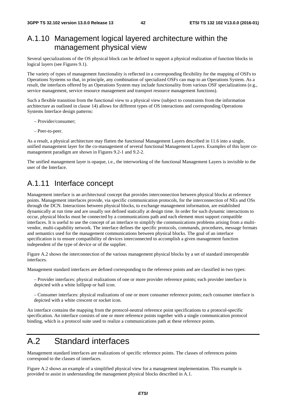### A.1.10 Management logical layered architecture within the management physical view

Several specializations of the OS physical block can be defined to support a physical realization of function blocks in logical layers (see Figures 9.1).

The variety of types of management functionality is reflected in a corresponding flexibility for the mapping of OSFs to Operations Systems so that, in principle, any combination of specialized OSFs can map to an Operations System. As a result, the interfaces offered by an Operations System may include functionality from various OSF specializations (e.g., service management, service resource management and transport resource management functions).

Such a flexible transition from the functional view to a physical view (subject to constraints from the information architecture as outlined in clause 14) allows for different types of OS interactions and corresponding Operations Systems Interface design patterns:

- Provider/consumer;
- Peer-to-peer.

As a result, a physical architecture may flatten the functional Management Layers described in 11.6 into a single, unified management layer for the co-management of several functional Management Layers. Examples of this layer comanagement paradigm are shown in Figures 9.2-1 and 9.2-2.

The unified management layer is opaque, i.e., the interworking of the functional Management Layers is invisible to the user of the Interface.

### A.1.11 Interface concept

Management interface is an architectural concept that provides interconnection between physical blocks at reference points. Management interfaces provide, via specific communication protocols, for the interconnection of NEs and OSs through the DCN. Interactions between physical blocks, to exchange management information, are established dynamically at run time and are usually not defined statically at design time. In order for such dynamic interactions to occur, physical blocks must be connected by a communications path and each element must support compatible interfaces. It is useful to use the concept of an interface to simplify the communications problems arising from a multivendor, multi-capability network. The interface defines the specific protocols, commands, procedures, message formats and semantics used for the management communications between physical blocks. The goal of an interface specification is to ensure compatibility of devices interconnected to accomplish a given management function independent of the type of device or of the supplier.

Figure A.2 shows the interconnection of the various management physical blocks by a set of standard interoperable interfaces.

Management standard interfaces are defined corresponding to the reference points and are classified in two types:

– Provider interfaces: physical realizations of one or more provider reference points; each provider interface is depicted with a white lollipop or ball icon.

– Consumer interfaces: physical realizations of one or more consumer reference points; each consumer interface is depicted with a white crescent or socket icon.

An interface contains the mapping from the protocol-neutral reference point specifications to a protocol-specific specification. An interface consists of one or more reference points together with a single communication protocol binding, which is a protocol suite used to realize a communications path at these reference points.

### A.2 Standard interfaces

Management standard interfaces are realizations of specific reference points. The classes of references points correspond to the classes of interfaces.

Figure A.2 shows an example of a simplified physical view for a management implementation. This example is provided to assist in understanding the management physical blocks described in A.1.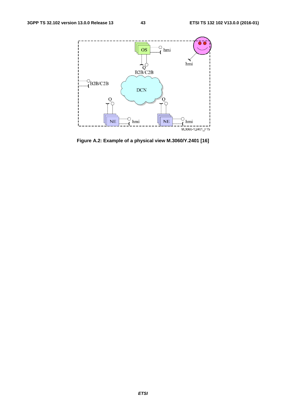

**Figure A.2: Example of a physical view M.3060/Y.2401 [16]**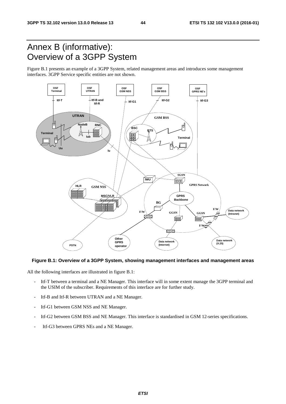### Annex B (informative): Overview of a 3GPP System

Figure B.1 presents an example of a 3GPP System, related management areas and introduces some management interfaces. 3GPP Service specific entities are not shown.



#### **Figure B.1: Overview of a 3GPP System, showing management interfaces and management areas**

All the following interfaces are illustrated in figure B.1:

- Itf-T between a terminal and a NE Manager. This interface will in some extent manage the 3GPP terminal and the USIM of the subscriber. Requirements of this interface are for further study.
- Itf-B and Itf-R between UTRAN and a NE Manager.
- Itf-G1 between GSM NSS and NE Manager.
- Itf-G2 between GSM BSS and NE Manager. This interface is standardised in GSM 12-series specifications.
- Itf-G3 between GPRS NEs and a NE Manager.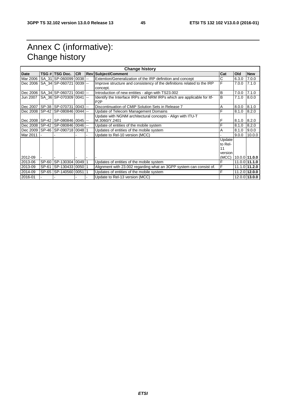### Annex C (informative): Change history

| <b>Change history</b> |         |                         |           |                          |                                                                         |         |       |                 |
|-----------------------|---------|-------------------------|-----------|--------------------------|-------------------------------------------------------------------------|---------|-------|-----------------|
| <b>Date</b>           |         | TSG # TSG Doc.          | <b>CR</b> |                          | <b>Rev Subject/Comment</b>                                              | Cat     | Old   | <b>New</b>      |
| Mar 2006              |         | SA 31 SP-060099 0038    |           | Ξ.                       | Extention/Generalization of the IRP definition and concept              | С       | 6.3.0 | 7.0.0           |
| Dec 2006              |         | SA 34 SP-060721 0039    |           | $\mathbf{u}$             | Improve structure and consistency of the definitions related to the IRP | F       | 7.0.0 | 7.1.0           |
|                       |         |                         |           |                          | concept.                                                                |         |       |                 |
| Dec 2006              |         | SA 34 SP-060721 0040    |           | $\sim$                   | Introduction of new entities - align with TS23.002                      | B       | 7.0.0 | 7.1.0           |
| Jun 2007              |         | SA 36 SP-070309 0041    |           | $\overline{a}$           | Identify the Interface IRPs and NRM IRPs which are applicable for Itf-  | B       | 7.1.0 | 8.0.0           |
|                       |         |                         |           |                          | P <sub>2</sub> P                                                        |         |       |                 |
| Dec 2007              |         | SP-38 SP-070731         | 0043      | $\sim$                   | Discontinuation of CMIP Solution Sets in Release 7                      | Α       | 8.0.0 | 8.1.0           |
| Dec 2008              | $SP-42$ | SP-080846 0044          |           | $\overline{\phantom{a}}$ | Update of Telecom Management Domains                                    | F       | 8.1.0 | 8.2.0           |
|                       |         |                         |           |                          | Update with NGNM architectural concepts - Align with ITU-T              |         |       |                 |
| Dec 2008              |         | SP-42 SP-080846 0045 -- |           |                          | M.3060/Y.2401                                                           | F       | 8.1.0 | 8.2.0           |
| Dec 2008              |         | SP-42 SP-080846 0046 -- |           |                          | Update of entities of the mobile system                                 | F       | 8.1.0 | 8.2.0           |
| Dec 2009              |         | SP-46 SP-090718 0048    |           |                          | Updates of entities of the mobile system                                | A       | 8.1.0 | 9.0.0           |
| Mar 2011              |         |                         |           |                          | Update to Rel-10 version (MCC)                                          |         | 9.0.0 | 10.0.0          |
|                       |         |                         |           |                          |                                                                         | Update  |       |                 |
|                       |         |                         |           |                          |                                                                         | to Rel- |       |                 |
|                       |         |                         |           |                          |                                                                         | 11      |       |                 |
|                       |         |                         |           |                          |                                                                         | version |       |                 |
| 2012-09               |         |                         |           |                          |                                                                         | (MCC)   |       | $10.0.0$ 11.0.0 |
| 2013-06               | SP-60   | SP-130304 0049 1        |           |                          | Updates of entities of the mobile system                                | F       |       | $11.0.0$ 11.1.0 |
| 2013-09               | SP-61   | SP-130433 0050 1        |           |                          | Alignment with 23.002 regarding what an 3GPP system can consist of.     | F       |       | $11.1.0$ 11.2.0 |
| 2014-09               |         | SP-65 SP-140560 0051 1  |           |                          | Updates of entities of the mobile system                                | F       |       | 11.2.0 12.0.0   |
| 2016-01               |         |                         |           |                          | Update to Rel-13 version (MCC)                                          |         |       | 12.0.0 13.0.0   |